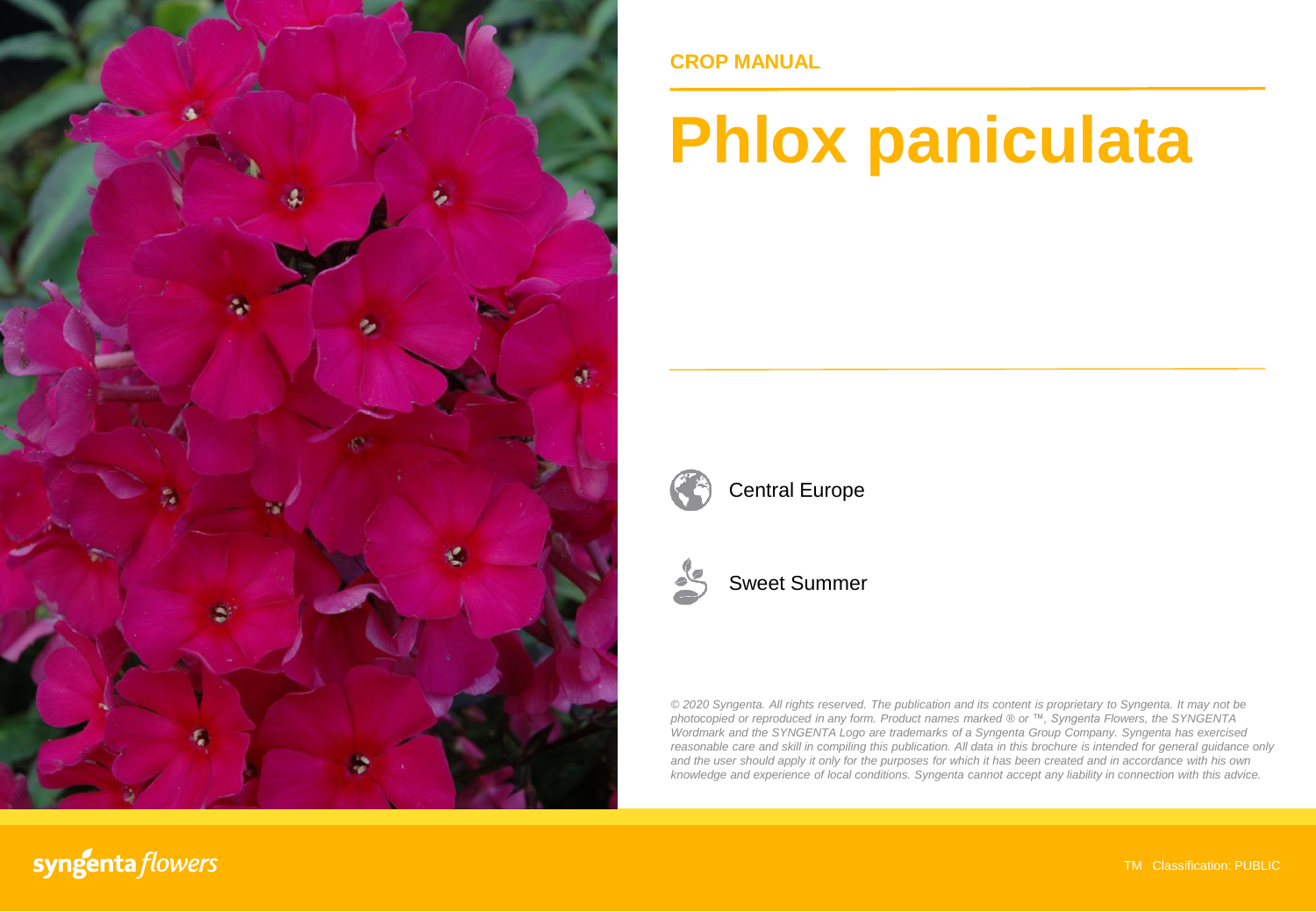

### **CROP MANUAL**

# **Phlox paniculata**



Central Europe



Sweet Summer

*© 2020 Syngenta. All rights reserved. The publication and its content is proprietary to Syngenta. It may not be photocopied or reproduced in any form. Product names marked ® or ™, Syngenta Flowers, the SYNGENTA Wordmark and the SYNGENTA Logo are trademarks of a Syngenta Group Company. Syngenta has exercised reasonable care and skill in compiling this publication. All data in this brochure is intended for general guidance only* and the user should apply it only for the purposes for which it has been created and in accordance with his own *knowledge and experience of local conditions. Syngenta cannot accept any liability in connection with this advice.*

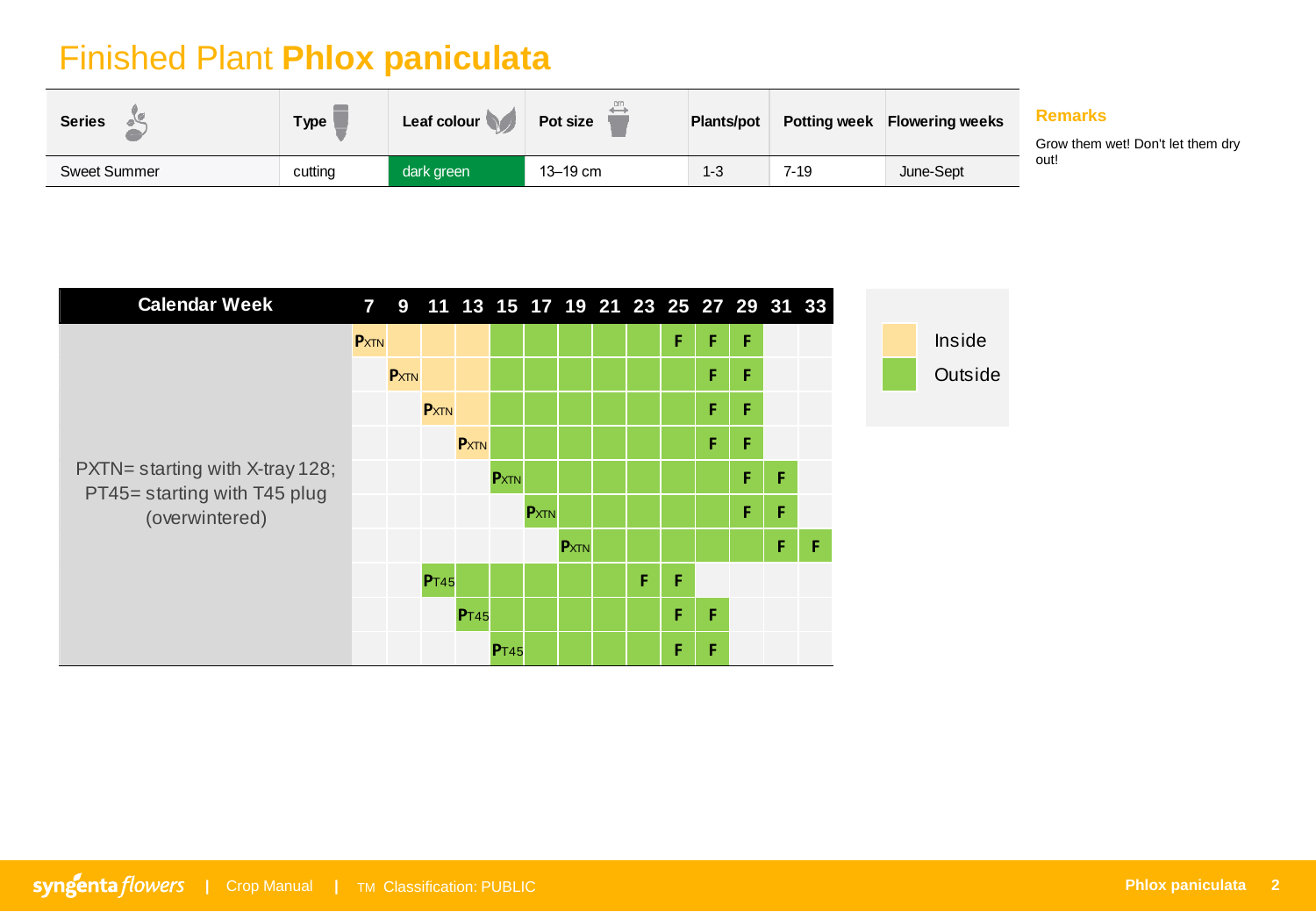## Finished Plant **Phlox paniculata**

| <b>Series</b>       | Type    | Leaf colour | Pot size | <b>Plants/pot</b> | <b>Potting week</b> | <b>Flowering weeks</b> | Re<br>Gro |
|---------------------|---------|-------------|----------|-------------------|---------------------|------------------------|-----------|
| <b>Sweet Summer</b> | cutting | dark green  | 13-19 cm | $1 - 3$           | 7-19                | June-Sept              | out       |

**Remarks**

ow them wet! Don't let them dry out!

| <b>Calendar Week</b>                           |             |      | 7 9 11 13 15 17 19 21 23 25 27 29 31 33 |             |             |             |             |   |   |   |   |    |   |
|------------------------------------------------|-------------|------|-----------------------------------------|-------------|-------------|-------------|-------------|---|---|---|---|----|---|
|                                                | <b>PXTN</b> |      |                                         |             |             |             |             |   | F | F | F |    |   |
|                                                |             | PXTN |                                         |             |             |             |             |   |   | F | F |    |   |
|                                                |             |      | <b>PXTN</b>                             |             |             |             |             |   |   | F | F |    |   |
|                                                |             |      |                                         | <b>PXTN</b> |             |             |             |   |   | F | F |    |   |
| PXTN= starting with X-tray 128;                |             |      |                                         |             | <b>PXTN</b> |             |             |   |   |   | F | F. |   |
| PT45= starting with T45 plug<br>(overwintered) |             |      |                                         |             |             | <b>PXTN</b> |             |   |   |   | F | F  |   |
|                                                |             |      |                                         |             |             |             | <b>PXTN</b> |   |   |   |   | F  | F |
|                                                |             |      | PT45                                    |             |             |             |             | F | F |   |   |    |   |
|                                                |             |      |                                         | PT45        |             |             |             |   | F | F |   |    |   |
|                                                |             |      |                                         |             | <b>PT45</b> |             |             |   | F | F |   |    |   |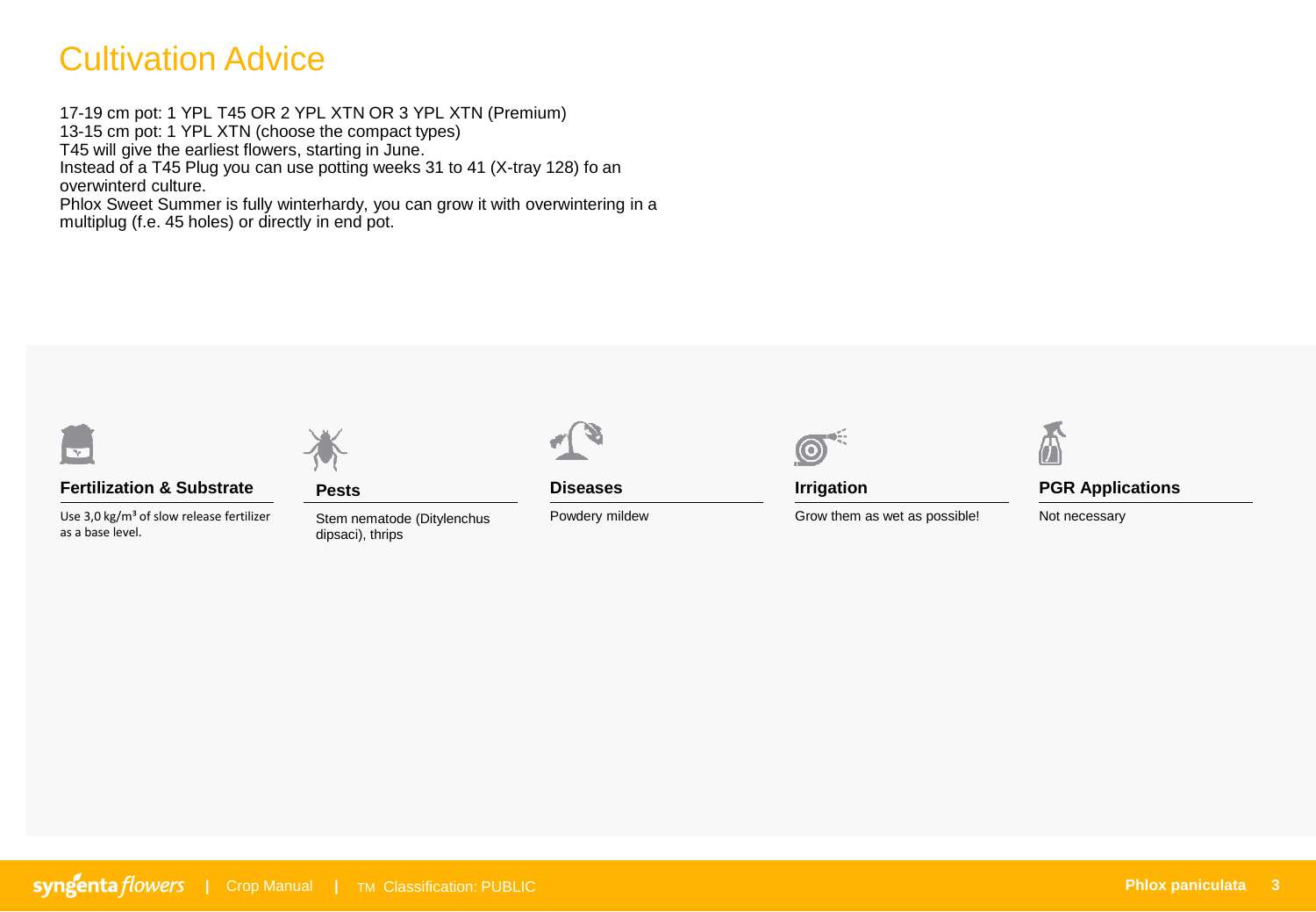### Cultivation Advice

17-19 cm pot: 1 YPL T45 OR 2 YPL XTN OR 3 YPL XTN (Premium) 13-15 cm pot: 1 YPL XTN (choose the compact types) T45 will give the earliest flowers, starting in June. Instead of a T45 Plug you can use potting weeks 31 to 41 (X-tray 128) fo an overwinterd culture. Phlox Sweet Summer is fully winterhardy, you can grow it with overwintering in a multiplug (f.e. 45 holes) or directly in end pot.



#### **Fertilization & Substrate**

Use  $3.0 \text{ kg/m}^3$  of slow release fertilizer as a base level.



**Pests**

Stem nematode (Ditylenchus dipsaci), thrips



**Diseases**

Powdery mildew



**Irrigation**

Grow them as wet as possible!

#### **PGR Applications**

Not necessary